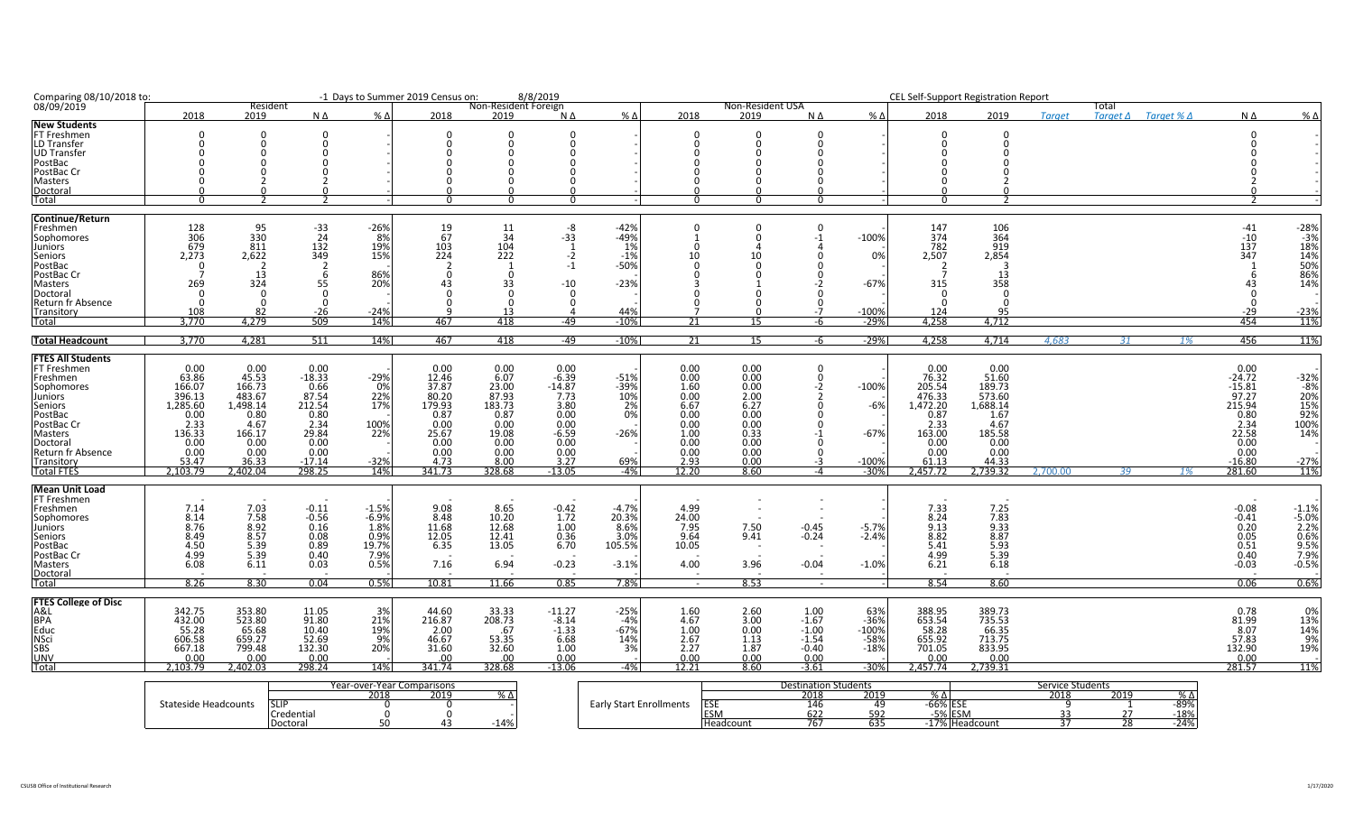| Comparing 08/10/2018 to:             |                  |                 |                                                 |                | -1 Days to Summer 2019 Census on:           |                      | 8/8/2019           |              |                          |                     |                             |                  | <b>CEL Self-Support Registration Report</b> |              |                         |       |                                   |                    |                      |
|--------------------------------------|------------------|-----------------|-------------------------------------------------|----------------|---------------------------------------------|----------------------|--------------------|--------------|--------------------------|---------------------|-----------------------------|------------------|---------------------------------------------|--------------|-------------------------|-------|-----------------------------------|--------------------|----------------------|
| 08/09/2019                           |                  | Resident        |                                                 |                |                                             | Non-Resident Foreign |                    |              |                          | Non-Resident USA    |                             |                  |                                             |              |                         | Total |                                   |                    |                      |
| <b>New Students</b>                  | 2018             | 2019            | NΔ                                              | $% \Delta$     | 2018                                        | 2019                 | $N \Delta$         | $%$ $\Delta$ | 2018                     | 2019                | NΔ                          | $% \Delta$       | 2018                                        | 2019         | <b>Taraet</b>           |       | $Target \Delta$ Target % $\Delta$ | NΔ                 | % ∆                  |
| FT Freshmen                          |                  |                 |                                                 |                |                                             |                      |                    |              | O                        |                     | $\Omega$                    |                  |                                             |              |                         |       |                                   |                    |                      |
| LD Transfer                          |                  |                 |                                                 |                |                                             |                      |                    |              |                          |                     | $\Omega$                    |                  |                                             |              |                         |       |                                   |                    |                      |
| <b>UD</b> Transfer                   |                  |                 |                                                 |                |                                             |                      |                    |              |                          |                     |                             |                  |                                             |              |                         |       |                                   |                    |                      |
| PostBac                              |                  |                 |                                                 |                |                                             |                      |                    |              |                          |                     |                             |                  |                                             |              |                         |       |                                   |                    |                      |
| PostBac Cr                           |                  |                 |                                                 |                |                                             |                      |                    |              |                          |                     |                             |                  |                                             |              |                         |       |                                   |                    |                      |
| Masters                              |                  |                 |                                                 |                |                                             |                      |                    |              |                          |                     |                             |                  |                                             |              |                         |       |                                   |                    |                      |
|                                      |                  |                 |                                                 |                |                                             |                      |                    |              |                          |                     |                             |                  |                                             |              |                         |       |                                   |                    |                      |
| Doctoral<br>Total                    |                  |                 |                                                 |                |                                             |                      |                    |              |                          |                     |                             |                  |                                             |              |                         |       |                                   |                    |                      |
| <b>Continue/Return</b>               |                  |                 |                                                 |                |                                             |                      |                    |              |                          |                     |                             |                  |                                             |              |                         |       |                                   |                    |                      |
| Freshmen                             | 128              | 95              |                                                 | $-26%$         | 19                                          | 11                   | -8                 | $-42%$       |                          |                     |                             |                  | 147                                         | 106          |                         |       |                                   | $-41$              | $-28%$               |
| Sophomores                           |                  | 330             | $\begin{array}{r} -33 \\ 24 \\ 132 \end{array}$ | 8%             | 67                                          | 34                   | $-33$              | $-49%$       |                          |                     | -1                          | $-100%$          | 374                                         | 364          |                         |       |                                   |                    |                      |
| Juniors                              | 306<br>679       | 811             |                                                 | 19%            | 103                                         | 104                  |                    | 1%           |                          |                     |                             |                  | 782                                         | 919          |                         |       |                                   | $\frac{-10}{137}$  | $-3%$<br>18%         |
| Seniors                              | 2,273            | 2,622           | 349                                             | 15%            | 224                                         | 222                  | $-2$               | $-1%$        |                          |                     |                             | 0%               | 2,507                                       | 2,854        |                         |       |                                   | 347                | 14%                  |
| PostBac                              |                  |                 |                                                 |                |                                             |                      | $-1$               | $-50%$       |                          |                     |                             |                  |                                             |              |                         |       |                                   |                    | 50%                  |
| PostBac Cr                           |                  | 13              | 6                                               | 86%            |                                             | റ                    |                    |              |                          |                     |                             |                  |                                             | 13           |                         |       |                                   |                    | 86%                  |
| Masters                              | 269              | 324             | 55                                              | 20%            | 43                                          | 33                   | $-10$              | $-23%$       |                          |                     |                             | $-67%$           | 315                                         | 358          |                         |       |                                   |                    | 14%                  |
| Doctoral                             |                  |                 |                                                 |                |                                             |                      |                    |              |                          |                     |                             |                  |                                             |              |                         |       |                                   |                    |                      |
| Return fr Absence                    |                  |                 |                                                 |                |                                             |                      |                    |              |                          |                     |                             |                  |                                             |              |                         |       |                                   |                    |                      |
| Transitory                           | 108              | 82              | -26                                             | $-24%$         |                                             |                      |                    | 44%          |                          |                     |                             | $-100%$          | <u> 124</u>                                 | 95           |                         |       |                                   | $-29$              | $-23%$               |
| <u>Total</u>                         | 3,770            | 4,279           | 509                                             | 14%            | 467                                         | 418                  | -49                | $-10%$       | 21                       | 15                  |                             | -29%             | 4,258                                       | 4,712        |                         |       |                                   | 454                | 11%                  |
| <b>Total Headcount</b>               | 3,770            | 4,281           | 511                                             | 14%            | 467                                         | 418                  | $-49$              | $-10%$       | 21                       | 15                  | -6                          | $-29%$           | 4,258                                       | 4,714        | 4,683                   | 31    | 1%                                | 456                | 11%                  |
| <b>FTES All Students</b>             |                  |                 |                                                 |                |                                             |                      |                    |              |                          |                     |                             |                  |                                             |              |                         |       |                                   |                    |                      |
| <b>FT Freshmen</b>                   | 0.00             |                 | 0.00                                            |                | 0.00                                        | 0.00                 | 0.00               |              | 0.00                     | 0.00                | 0                           |                  | 0.00                                        | 0.00         |                         |       |                                   | 0.00               |                      |
| Freshmen                             | 63.86            | $0.00$<br>45.53 | $-18.33$                                        | $-29%$         | 12.46                                       | 6.07                 | $-6.39$            | $-51%$       | 0.00                     | 0.00                | $\Omega$                    |                  | 76.32                                       | 51.60        |                         |       |                                   | $-24.72$           | $-32%$               |
| Sophomores                           | 166.07           | 166.73          | 0.66                                            | 0%             | 37.87                                       | 23.00                | $-14.87$           | $-39%$       | 1.60                     | 0.00                | -2                          | $-100%$          | 205.54                                      | 189.73       |                         |       |                                   | $-15.81$           | -8%                  |
| Juniors                              | 396.13           | 483.67          | 87.54                                           | 22%            | 80.20                                       | 87.93                | 7.73               | 10%          | 0.00                     | 2.00                |                             |                  | 476.33                                      | 573.60       |                         |       |                                   | 97.27              | 20%                  |
| <b>Seniors</b>                       | 1.285.60         | 1,498.14        |                                                 | 17%            | 179.93                                      | 183.73               | 3.80               | 2%           | 6.67                     | 6.27                |                             | $-6%$            | 1,472.20                                    | 1,688.14     |                         |       |                                   | 215.94             | 15%                  |
| PostBac                              | 0.00             | 0.80            | 212.54<br>0.80                                  |                | 0.87                                        | 0.87                 | 0.00               | 0%           | 0.00                     | 0.00                |                             |                  | 0.87                                        | 1.67         |                         |       |                                   | 0.80               | 92%                  |
| PostBac Cr                           | 2.33             | 4.67            |                                                 | 100%           | 0.00                                        |                      | 0.00               |              | 0.00                     | 0.00                |                             |                  | 2.33                                        | 4.67         |                         |       |                                   |                    | 100%                 |
| Masters                              | 136.33           | 166.17          | $\frac{2.34}{29.84}$                            | 22%            | 25.67                                       | $0.00$<br>19.08      | $-6.59$            | $-26%$       | 1.00                     | 0.33                |                             | $-67%$           | 163.00                                      | 185.58       |                         |       |                                   | $2.34$<br>22.58    | 14%                  |
| Doctoral                             | 0.00             | 0.00            | 0.00                                            |                | 0.00                                        | 0.00                 | 0.00               |              | 0.00                     | 0.00                |                             |                  | 0.00                                        | 0.00         |                         |       |                                   | 0.00               |                      |
| Return fr Absence                    | 0.00             | 0.00            | 0.00                                            |                | 0.00                                        | 0.00                 | 0.00               |              | 0.00                     | 0.00                |                             |                  | 0.00                                        | 0.00         |                         |       |                                   | 0.00               |                      |
| Transitory                           | 53.47            | 36.33           | $-17.14$                                        | $-32%$         | 4.73                                        | 8.00                 | 3.27               | 69%          |                          |                     | -3                          | $-100%$          | 61.13                                       | 44.33        |                         |       |                                   | $-16.80$           | $-27%$               |
| <b>Total FTES</b>                    | 2.103.79         | 2,402.04        | 298.25                                          | 14%            | 341.73                                      | 328.68               | $-13.05$           | $-4%$        | $\frac{2.93}{12.20}$     | $\frac{0.00}{8.60}$ | $-\Delta$                   | $-30%$           | 2,457.72                                    | 2,739.32     | 2.700.00                | 39    | 1%                                | 281.60             | 11%                  |
|                                      |                  |                 |                                                 |                |                                             |                      |                    |              |                          |                     |                             |                  |                                             |              |                         |       |                                   |                    |                      |
| <b>Mean Unit Load</b><br>FT Freshmen |                  |                 |                                                 |                |                                             |                      |                    |              |                          |                     |                             |                  |                                             |              |                         |       |                                   |                    |                      |
| Freshmen                             |                  |                 | $-0.11$                                         |                |                                             | 8.65                 |                    | $-4.7%$      | 4.99                     |                     |                             |                  |                                             |              |                         |       |                                   |                    |                      |
| Sophomores                           | $7.14$<br>$8.14$ | 7.03<br>7.58    | $-0.56$                                         | $-1.5\%$ -6.9% | $\begin{array}{c} 9.08 \\ 8.48 \end{array}$ | 10.20                | $-0.42$<br>1.72    | 20.3%        | 24.00                    |                     |                             |                  | 7.33<br>8.24                                | 7.25<br>7.83 |                         |       |                                   | $-0.08$<br>$-0.41$ | $-1.1\%$<br>$-5.0\%$ |
| Juniors                              | 8.76             | 8.92            | 0.16                                            | 1.8%           | 11.68                                       | 12.68                | 1.00               | 8.6%         | 7.95                     | 7.50                | $-0.45$                     | $-5.7%$          | 9.13                                        | 9.33         |                         |       |                                   | 0.20               | 2.2%                 |
| Seniors                              | 8.49             | 8.57            | 0.08                                            | 0.9%           |                                             |                      | 0.36               | 3.0%         | 9.64                     | 9.41                | $-0.24$                     | $-2.4%$          | 8.82                                        | 8.87         |                         |       |                                   | 0.05               | 0.6%                 |
| PostBac                              | 4.50             | 5.39            | 0.89                                            | 19.7%          | 12.05<br>6.35                               | 12.41<br>13.05       | 6.70               | 105.5%       | 10.05                    |                     |                             |                  | 5.41                                        | 5.93         |                         |       |                                   | 0.51               | 9.5%                 |
| PostBac Cr                           | 4.99             |                 | 0.40                                            |                |                                             |                      |                    |              |                          |                     |                             |                  | 4.99                                        | 5.39         |                         |       |                                   | 0.40               | 7.9%                 |
| Masters                              | 6.08             | 5.39<br>6.11    | 0.03                                            | 7.9%<br>0.5%   | 7.16                                        | 6.94                 | $-0.23$            | $-3.1%$      | 4.00                     | 3.96                | $-0.04$                     | $-1.0%$          | 6.21                                        | 6.18         |                         |       |                                   | $-0.03$            | $-0.5%$              |
| Doctoral                             |                  |                 |                                                 |                |                                             |                      |                    |              | $\overline{\phantom{a}}$ |                     |                             |                  |                                             |              |                         |       |                                   |                    |                      |
| Total                                | 8.26             | 8.30            | 0.04                                            | 0.5%           | 10.81                                       | 11.66                | 0.85               | 7.8%         | $\sim$                   | 8.53                | $\sim$ $-$                  | $-1$             | 8.54                                        | 8.60         |                         |       |                                   | 0.06               | 0.6%                 |
| <b>FTES College of Disc</b>          |                  |                 |                                                 |                |                                             |                      |                    |              |                          |                     |                             |                  |                                             |              |                         |       |                                   |                    |                      |
| A&L                                  | 342.75           | 353.80          | 11.05                                           | 3%             | 44.60                                       | 33.33                | $-11.27$           | $-25%$       | 1.60                     | 2.60                | 1.00                        | 63%              | 388.95                                      | 389.73       |                         |       |                                   | 0.78               | 0%                   |
| <b>BPA</b>                           | 432.00           | 523.80          | 91.80                                           | 21%            | 216.87                                      | 208.73               | $-8.14$            | $-4%$        | 4.67                     | 3.00                |                             | $-36%$           | 653.54                                      | 735.53       |                         |       |                                   | 81.99              | 13%                  |
| Educ                                 | 55.28            | 65.68           | 10.40                                           | 19%            | 2.00                                        | .67                  | $-1.\overline{3}3$ | $-67%$       | 1.00                     | 0.00                | $-1.67$<br>$-1.00$          | $-100%$          | 58.28                                       | 66.35        |                         |       |                                   | 8.07               | 14%                  |
| <b>NSci</b>                          | 606.58           | 659.27          | 52.69                                           | 9%             | 46.67                                       |                      | 6.68               | 14%          | 2.67                     | 1.13                | $-1.54$                     |                  | 655.92                                      | 713.75       |                         |       |                                   | 57.83              | 9%                   |
| SBS                                  | 667.18           | 799.48          | 132.30                                          | 20%            | 31.60                                       | 53.35<br>32.60       | 1.00               | 3%           | 2.27                     | 1.87                | $-0.40$                     | $-58%$<br>$-18%$ | 701.05                                      | 833.95       |                         |       |                                   | 132.90             | 19%                  |
| <u>UNV</u>                           | 0.00             | 0.00            | 0.00                                            |                | .00                                         | <u>.00</u>           | 0.00               |              | 0.00                     | 0.00                | 0.00                        |                  | 0.00                                        | 0.00         |                         |       |                                   | 0.00               |                      |
| Total                                | 2,103.79         | 2,402.03        | 298.24                                          | 14%            | 341.74                                      | 328.68               | $-13.06$           | $-4%$        | 12.21                    | 8.60                | $-3.61$                     | $-30%$           | 2,457.74                                    | 2,739.31     |                         |       |                                   | 281.57             | 11%                  |
|                                      |                  |                 |                                                 |                | Year-over-Year Comparisons                  |                      |                    |              |                          |                     | <b>Destination Students</b> |                  |                                             |              | <b>Service Students</b> |       |                                   |                    |                      |
|                                      |                  |                 |                                                 |                |                                             |                      |                    |              |                          |                     |                             |                  |                                             |              |                         |       |                                   |                    |                      |

|                      |             | Year-over-Year Comparisons |      |      |                         |            | <b>Destination Students</b> |           |                  | Service Students |      |               |
|----------------------|-------------|----------------------------|------|------|-------------------------|------------|-----------------------------|-----------|------------------|------------------|------|---------------|
|                      |             | 2018                       | 2019 | . д. |                         |            | 2018                        | 2019      | $\sim$           | 2018             | 2019 | . .           |
| Stateside Headcounts | <b>SLIF</b> |                            |      |      | Early Start Enrollments | ESE        |                             |           | 66% ES           |                  |      | $-89%$        |
|                      | Credential  |                            |      |      |                         | <b>ESM</b> | <b>DZZ</b>                  | ---<br>-- | <b>J/01 LJIV</b> |                  |      | 1001<br>-1070 |
|                      | Doctoral    |                            |      | 14%  |                         | Headcount  | $- - -$                     | ---       | 170/<br>าdcount  |                  |      | $-24%$        |